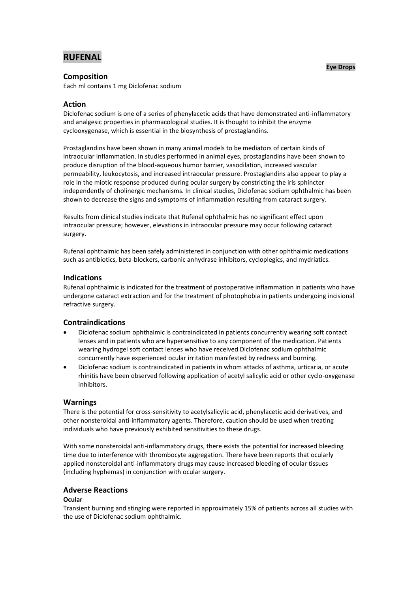# **RUFENAL**

# **Composition**

Each ml contains 1 mg Diclofenac sodium

# **Action**

Diclofenac sodium is one of a series of phenylacetic acids that have demonstrated anti-inflammatory and analgesic properties in pharmacological studies. It is thought to inhibit the enzyme cyclooxygenase, which is essential in the biosynthesis of prostaglandins.

Prostaglandins have been shown in many animal models to be mediators of certain kinds of intraocular inflammation. In studies performed in animal eyes, prostaglandins have been shown to produce disruption of the blood-aqueous humor barrier, vasodilation, increased vascular permeability, leukocytosis, and increased intraocular pressure. Prostaglandins also appear to play a role in the miotic response produced during ocular surgery by constricting the iris sphincter independently of cholinergic mechanisms. In clinical studies, Diclofenac sodium ophthalmic has been shown to decrease the signs and symptoms of inflammation resulting from cataract surgery.

Results from clinical studies indicate that Rufenal ophthalmic has no significant effect upon intraocular pressure; however, elevations in intraocular pressure may occur following cataract surgery.

Rufenal ophthalmic has been safely administered in conjunction with other ophthalmic medications such as antibiotics, beta-blockers, carbonic anhydrase inhibitors, cycloplegics, and mydriatics.

# **Indications**

Rufenal ophthalmic is indicated for the treatment of postoperative inflammation in patients who have undergone cataract extraction and for the treatment of photophobia in patients undergoing incisional refractive surgery.

# **Contraindications**

- Diclofenac sodium ophthalmic is contraindicated in patients concurrently wearing soft contact lenses and in patients who are hypersensitive to any component of the medication. Patients wearing hydrogel soft contact lenses who have received Diclofenac sodium ophthalmic concurrently have experienced ocular irritation manifested by redness and burning.
- Diclofenac sodium is contraindicated in patients in whom attacks of asthma, urticaria, or acute rhinitis have been observed following application of acetyl salicylic acid or other cyclo-oxygenase inhibitors.

# **Warnings**

There is the potential for cross-sensitivity to acetylsalicylic acid, phenylacetic acid derivatives, and other nonsteroidal anti-inflammatory agents. Therefore, caution should be used when treating individuals who have previously exhibited sensitivities to these drugs.

With some nonsteroidal anti-inflammatory drugs, there exists the potential for increased bleeding time due to interference with thrombocyte aggregation. There have been reports that ocularly applied nonsteroidal anti-inflammatory drugs may cause increased bleeding of ocular tissues (including hyphemas) in conjunction with ocular surgery.

# **Adverse Reactions**

# **Ocular**

Transient burning and stinging were reported in approximately 15% of patients across all studies with the use of Diclofenac sodium ophthalmic.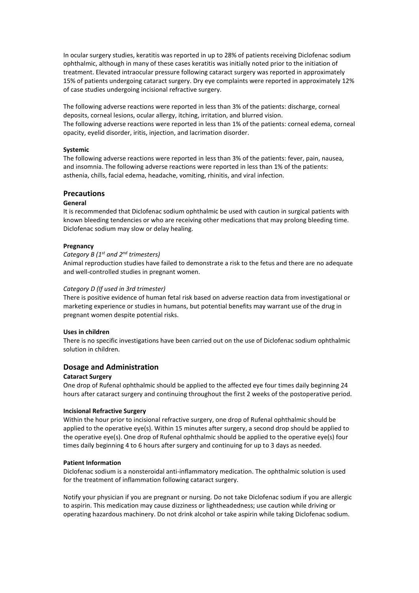In ocular surgery studies, keratitis was reported in up to 28% of patients receiving Diclofenac sodium ophthalmic, although in many of these cases keratitis was initially noted prior to the initiation of treatment. Elevated intraocular pressure following cataract surgery was reported in approximately 15% of patients undergoing cataract surgery. Dry eye complaints were reported in approximately 12% of case studies undergoing incisional refractive surgery.

The following adverse reactions were reported in less than 3% of the patients: discharge, corneal deposits, corneal lesions, ocular allergy, itching, irritation, and blurred vision. The following adverse reactions were reported in less than 1% of the patients: corneal edema, corneal opacity, eyelid disorder, iritis, injection, and lacrimation disorder.

#### **Systemic**

The following adverse reactions were reported in less than 3% of the patients: fever, pain, nausea, and insomnia. The following adverse reactions were reported in less than 1% of the patients: asthenia, chills, facial edema, headache, vomiting, rhinitis, and viral infection.

# **Precautions**

# **General**

It is recommended that Diclofenac sodium ophthalmic be used with caution in surgical patients with known bleeding tendencies or who are receiving other medications that may prolong bleeding time. Diclofenac sodium may slow or delay healing.

#### **Pregnancy**

#### *Category B (1 st and 2nd trimesters)*

Animal reproduction studies have failed to demonstrate a risk to the fetus and there are no adequate and well-controlled studies in pregnant women.

#### *Category D (If used in 3rd trimester)*

There is positive evidence of human fetal risk based on adverse reaction data from investigational or marketing experience or studies in humans, but potential benefits may warrant use of the drug in pregnant women despite potential risks.

# **Uses in children**

There is no specific investigations have been carried out on the use of Diclofenac sodium ophthalmic solution in children.

# **Dosage and Administration**

#### **Cataract Surgery**

One drop of Rufenal ophthalmic should be applied to the affected eye four times daily beginning 24 hours after cataract surgery and continuing throughout the first 2 weeks of the postoperative period.

#### **Incisional Refractive Surgery**

Within the hour prior to incisional refractive surgery, one drop of Rufenal ophthalmic should be applied to the operative eye(s). Within 15 minutes after surgery, a second drop should be applied to the operative eye(s). One drop of Rufenal ophthalmic should be applied to the operative eye(s) four times daily beginning 4 to 6 hours after surgery and continuing for up to 3 days as needed.

#### **Patient Information**

Diclofenac sodium is a nonsteroidal anti-inflammatory medication. The ophthalmic solution is used for the treatment of inflammation following cataract surgery.

Notify your physician if you are pregnant or nursing. Do not take Diclofenac sodium if you are allergic to aspirin. This medication may cause dizziness or lightheadedness; use caution while driving or operating hazardous machinery. Do not drink alcohol or take aspirin while taking Diclofenac sodium.